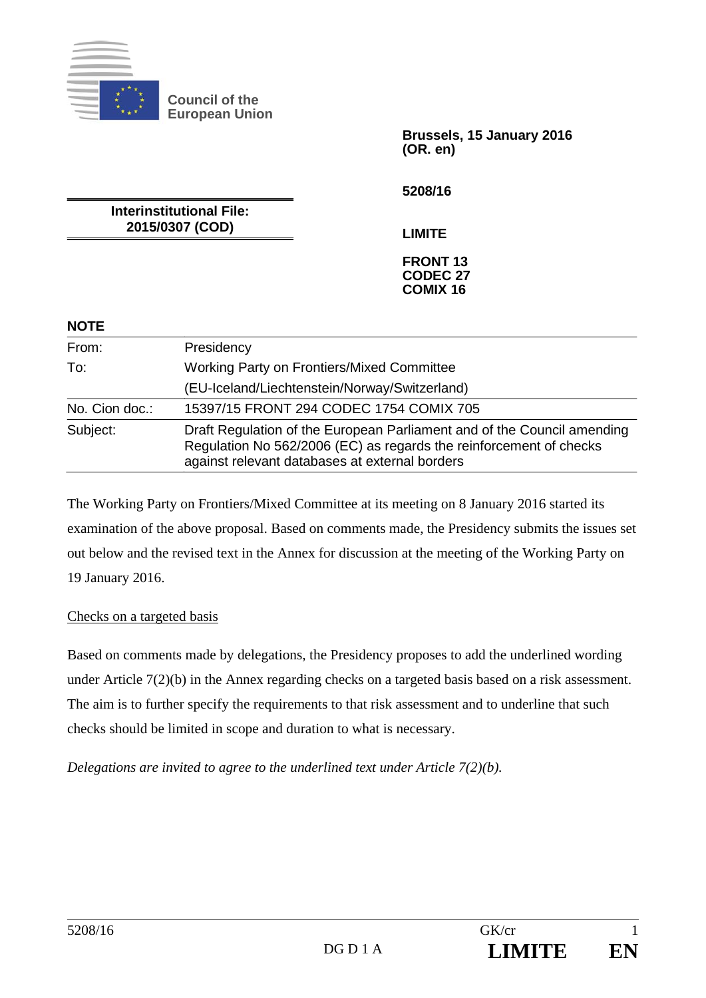

**Council of the European Union** 

> **Brussels, 15 January 2016 (OR. en)**

**5208/16** 

**Interinstitutional File: 2015/0307 (COD)** 

**LIMITE** 

#### **FRONT 13 CODEC 27 COMIX 16**

# **NOTE**

| From:          | Presidency                                                                                                                                                                                      |
|----------------|-------------------------------------------------------------------------------------------------------------------------------------------------------------------------------------------------|
| To:            | Working Party on Frontiers/Mixed Committee                                                                                                                                                      |
|                | (EU-Iceland/Liechtenstein/Norway/Switzerland)                                                                                                                                                   |
| No. Cion doc.: | 15397/15 FRONT 294 CODEC 1754 COMIX 705                                                                                                                                                         |
| Subject:       | Draft Regulation of the European Parliament and of the Council amending<br>Regulation No 562/2006 (EC) as regards the reinforcement of checks<br>against relevant databases at external borders |

The Working Party on Frontiers/Mixed Committee at its meeting on 8 January 2016 started its examination of the above proposal. Based on comments made, the Presidency submits the issues set out below and the revised text in the Annex for discussion at the meeting of the Working Party on 19 January 2016.

# Checks on a targeted basis

Based on comments made by delegations, the Presidency proposes to add the underlined wording under Article 7(2)(b) in the Annex regarding checks on a targeted basis based on a risk assessment. The aim is to further specify the requirements to that risk assessment and to underline that such checks should be limited in scope and duration to what is necessary.

*Delegations are invited to agree to the underlined text under Article 7(2)(b).*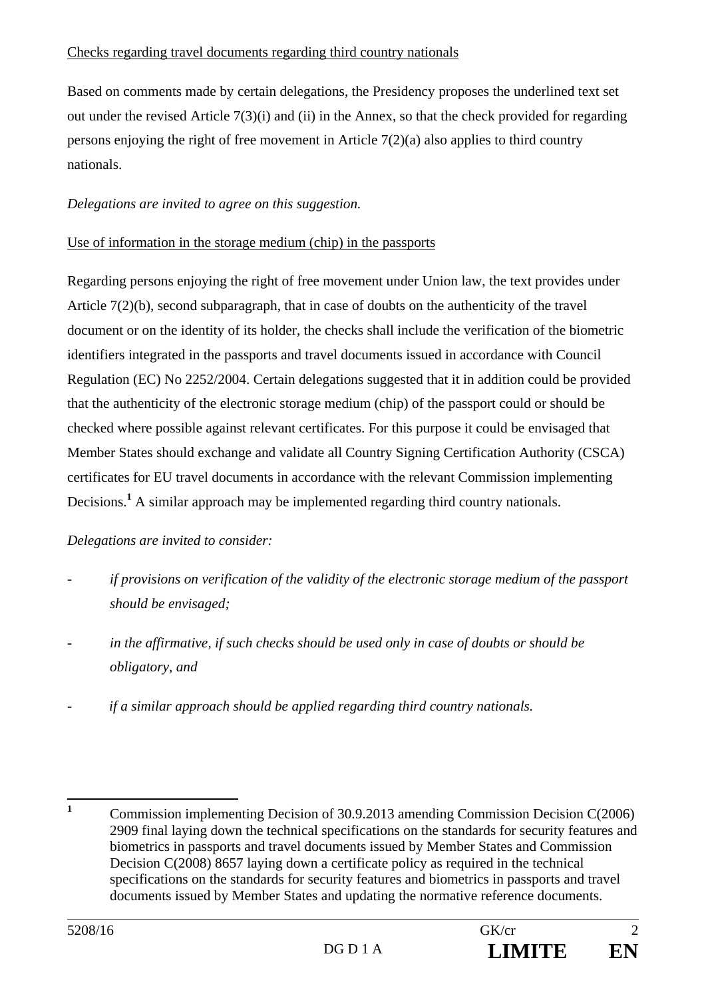# Checks regarding travel documents regarding third country nationals

Based on comments made by certain delegations, the Presidency proposes the underlined text set out under the revised Article  $7(3)(i)$  and (ii) in the Annex, so that the check provided for regarding persons enjoying the right of free movement in Article 7(2)(a) also applies to third country nationals.

# *Delegations are invited to agree on this suggestion.*

### Use of information in the storage medium (chip) in the passports

Regarding persons enjoying the right of free movement under Union law, the text provides under Article  $7(2)(b)$ , second subparagraph, that in case of doubts on the authenticity of the travel document or on the identity of its holder, the checks shall include the verification of the biometric identifiers integrated in the passports and travel documents issued in accordance with Council Regulation (EC) No 2252/2004. Certain delegations suggested that it in addition could be provided that the authenticity of the electronic storage medium (chip) of the passport could or should be checked where possible against relevant certificates. For this purpose it could be envisaged that Member States should exchange and validate all Country Signing Certification Authority (CSCA) certificates for EU travel documents in accordance with the relevant Commission implementing Decisions.<sup>1</sup> A similar approach may be implemented regarding third country nationals.

# *Delegations are invited to consider:*

- *if provisions on verification of the validity of the electronic storage medium of the passport should be envisaged;*
- *in the affirmative, if such checks should be used only in case of doubts or should be obligatory, and*
- *if a similar approach should be applied regarding third country nationals.*

 **1** Commission implementing Decision of 30.9.2013 amending Commission Decision C(2006) 2909 final laying down the technical specifications on the standards for security features and biometrics in passports and travel documents issued by Member States and Commission Decision C(2008) 8657 laying down a certificate policy as required in the technical specifications on the standards for security features and biometrics in passports and travel documents issued by Member States and updating the normative reference documents.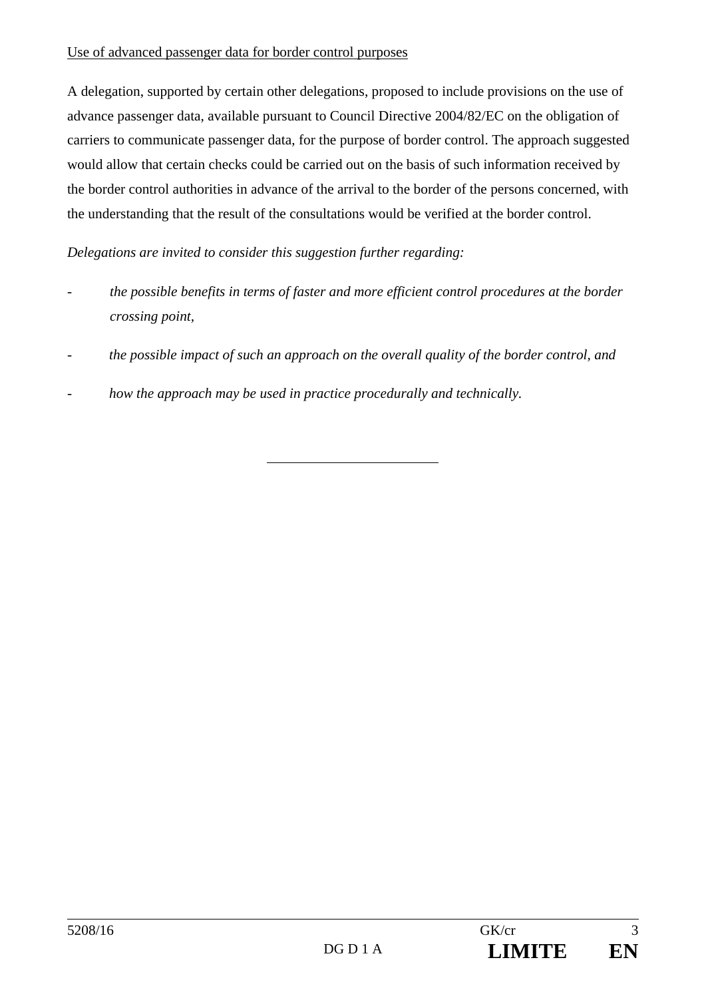#### Use of advanced passenger data for border control purposes

A delegation, supported by certain other delegations, proposed to include provisions on the use of advance passenger data, available pursuant to Council Directive 2004/82/EC on the obligation of carriers to communicate passenger data, for the purpose of border control. The approach suggested would allow that certain checks could be carried out on the basis of such information received by the border control authorities in advance of the arrival to the border of the persons concerned, with the understanding that the result of the consultations would be verified at the border control.

*Delegations are invited to consider this suggestion further regarding:* 

- *the possible benefits in terms of faster and more efficient control procedures at the border crossing point,*
- *the possible impact of such an approach on the overall quality of the border control, and*
- *how the approach may be used in practice procedurally and technically.*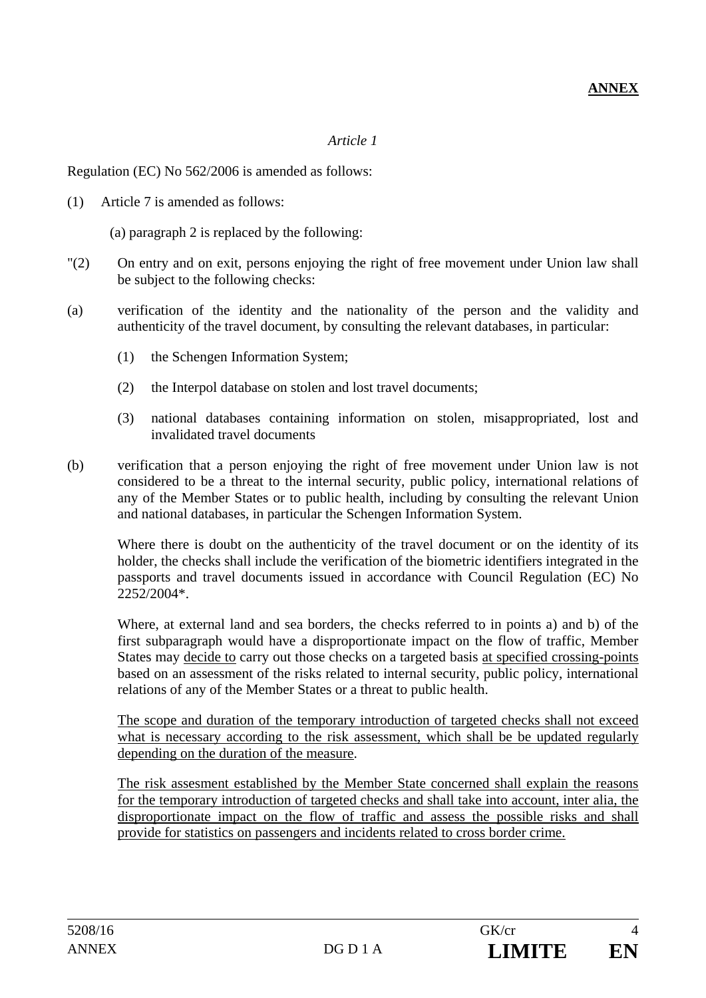# *Article 1*

Regulation (EC) No 562/2006 is amended as follows:

(1) Article 7 is amended as follows:

(a) paragraph 2 is replaced by the following:

- "(2) On entry and on exit, persons enjoying the right of free movement under Union law shall be subject to the following checks:
- (a) verification of the identity and the nationality of the person and the validity and authenticity of the travel document, by consulting the relevant databases, in particular:
	- (1) the Schengen Information System;
	- (2) the Interpol database on stolen and lost travel documents;
	- (3) national databases containing information on stolen, misappropriated, lost and invalidated travel documents
- (b) verification that a person enjoying the right of free movement under Union law is not considered to be a threat to the internal security, public policy, international relations of any of the Member States or to public health, including by consulting the relevant Union and national databases, in particular the Schengen Information System.

 Where there is doubt on the authenticity of the travel document or on the identity of its holder, the checks shall include the verification of the biometric identifiers integrated in the passports and travel documents issued in accordance with Council Regulation (EC) No 2252/2004\*.

 Where, at external land and sea borders, the checks referred to in points a) and b) of the first subparagraph would have a disproportionate impact on the flow of traffic, Member States may decide to carry out those checks on a targeted basis at specified crossing-points based on an assessment of the risks related to internal security, public policy, international relations of any of the Member States or a threat to public health.

 The scope and duration of the temporary introduction of targeted checks shall not exceed what is necessary according to the risk assessment, which shall be be updated regularly depending on the duration of the measure.

 The risk assesment established by the Member State concerned shall explain the reasons for the temporary introduction of targeted checks and shall take into account, inter alia, the disproportionate impact on the flow of traffic and assess the possible risks and shall provide for statistics on passengers and incidents related to cross border crime.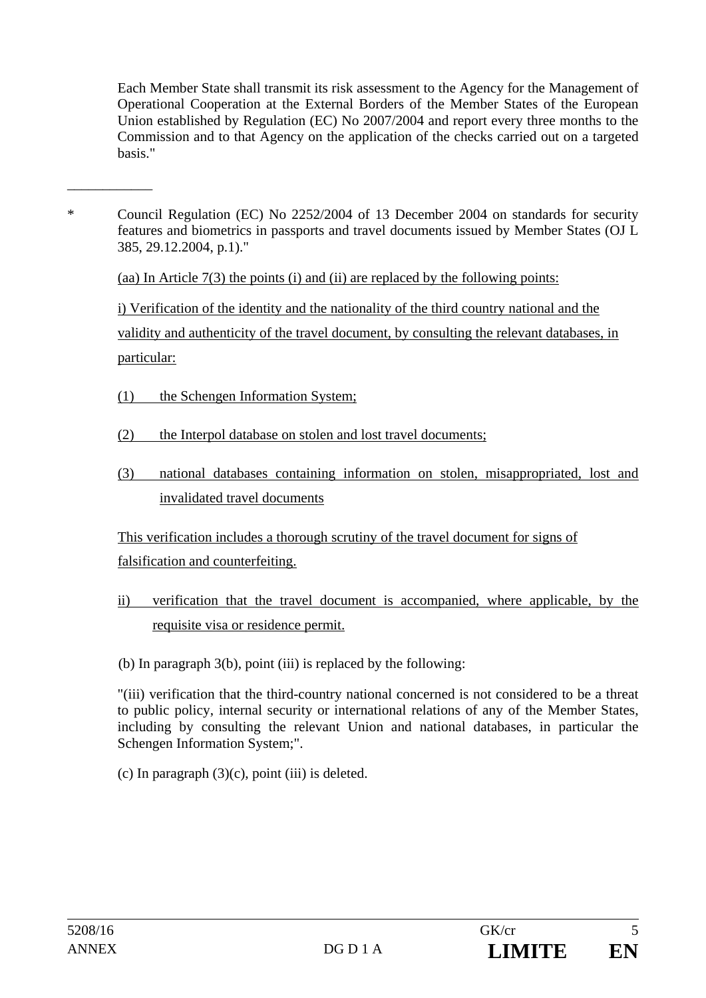Each Member State shall transmit its risk assessment to the Agency for the Management of Operational Cooperation at the External Borders of the Member States of the European Union established by Regulation (EC) No 2007/2004 and report every three months to the Commission and to that Agency on the application of the checks carried out on a targeted basis."

\* Council Regulation (EC) No 2252/2004 of 13 December 2004 on standards for security features and biometrics in passports and travel documents issued by Member States (OJ L 385, 29.12.2004, p.1)."

(aa) In Article 7(3) the points (i) and (ii) are replaced by the following points:

i) Verification of the identity and the nationality of the third country national and the validity and authenticity of the travel document, by consulting the relevant databases, in particular:

- (1) the Schengen Information System;
- (2) the Interpol database on stolen and lost travel documents;
- (3) national databases containing information on stolen, misappropriated, lost and invalidated travel documents

This verification includes a thorough scrutiny of the travel document for signs of falsification and counterfeiting.

ii) verification that the travel document is accompanied, where applicable, by the requisite visa or residence permit.

(b) In paragraph 3(b), point (iii) is replaced by the following:

 "(iii) verification that the third-country national concerned is not considered to be a threat to public policy, internal security or international relations of any of the Member States, including by consulting the relevant Union and national databases, in particular the Schengen Information System;".

(c) In paragraph  $(3)(c)$ , point (iii) is deleted.

\_\_\_\_\_\_\_\_\_\_\_\_